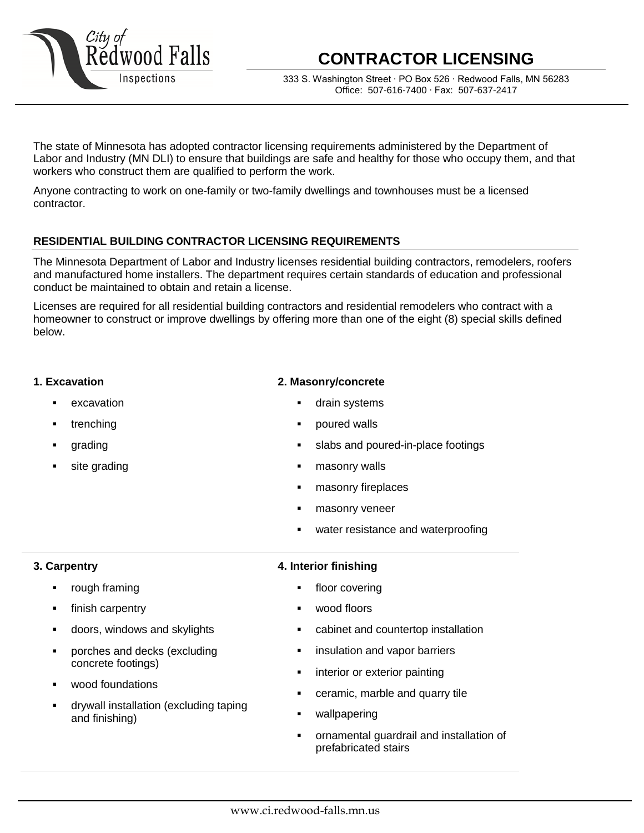

# **CONTRACTOR LICENSING**

333 S. Washington Street ∙ PO Box 526 ∙ Redwood Falls, MN 56283 Office: 507-616-7400 ∙ Fax: 507-637-2417

The state of Minnesota has adopted contractor licensing requirements administered by the Department of Labor and Industry (MN DLI) to ensure that buildings are safe and healthy for those who occupy them, and that workers who construct them are qualified to perform the work.

Anyone contracting to work on one-family or two-family dwellings and townhouses must be a licensed contractor.

#### **RESIDENTIAL BUILDING CONTRACTOR LICENSING REQUIREMENTS**

The Minnesota Department of Labor and Industry licenses residential building contractors, remodelers, roofers and manufactured home installers. The department requires certain standards of education and professional conduct be maintained to obtain and retain a license.

Licenses are required for all residential building contractors and residential remodelers who contract with a homeowner to construct or improve dwellings by offering more than one of the eight (8) special skills defined below.

#### **1. Excavation**

- excavation
- trenching
- grading
- site grading

#### **2. Masonry/concrete**

- drain systems
- poured walls
- slabs and poured-in-place footings
- masonry walls
- masonry fireplaces
- masonry veneer
- water resistance and waterproofing

#### **3. Carpentry**

- rough framing
- finish carpentry
- doors, windows and skylights
- porches and decks (excluding concrete footings)
- wood foundations
- drywall installation (excluding taping and finishing)

#### **4. Interior finishing**

- floor covering
- wood floors
- cabinet and countertop installation
- **EXECUTE:** insulation and vapor barriers
- interior or exterior painting
- ceramic, marble and quarry tile
- wallpapering
- ornamental guardrail and installation of prefabricated stairs